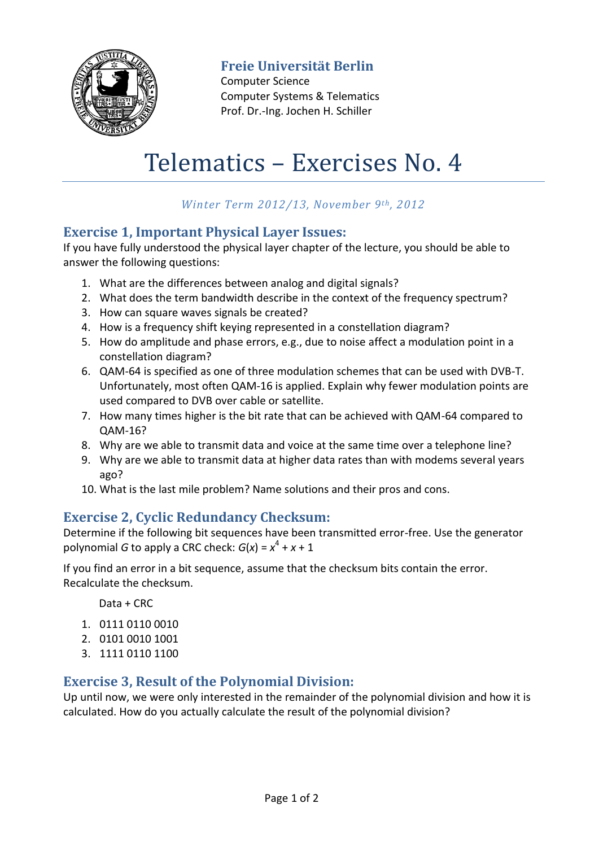

**Freie Universität Berlin**

Computer Science Computer Systems & Telematics Prof. Dr.-Ing. Jochen H. Schiller

# Telematics – Exercises No. 4

# *Winter Term 2012/13, November 9th, 2012*

# **Exercise 1, Important Physical Layer Issues:**

If you have fully understood the physical layer chapter of the lecture, you should be able to answer the following questions:

- 1. What are the differences between analog and digital signals?
- 2. What does the term bandwidth describe in the context of the frequency spectrum?
- 3. How can square waves signals be created?
- 4. How is a frequency shift keying represented in a constellation diagram?
- 5. How do amplitude and phase errors, e.g., due to noise affect a modulation point in a constellation diagram?
- 6. QAM-64 is specified as one of three modulation schemes that can be used with DVB-T. Unfortunately, most often QAM-16 is applied. Explain why fewer modulation points are used compared to DVB over cable or satellite.
- 7. How many times higher is the bit rate that can be achieved with QAM-64 compared to QAM-16?
- 8. Why are we able to transmit data and voice at the same time over a telephone line?
- 9. Why are we able to transmit data at higher data rates than with modems several years ago?
- 10. What is the last mile problem? Name solutions and their pros and cons.

# **Exercise 2, Cyclic Redundancy Checksum:**

Determine if the following bit sequences have been transmitted error-free. Use the generator polynomial *G* to apply a CRC check:  $G(x) = x^4 + x + 1$ 

If you find an error in a bit sequence, assume that the checksum bits contain the error. Recalculate the checksum.

Data + CRC

- 1. 0111 0110 0010
- 2. 0101 0010 1001
- 3. 1111 0110 1100

# **Exercise 3, Result of the Polynomial Division:**

Up until now, we were only interested in the remainder of the polynomial division and how it is calculated. How do you actually calculate the result of the polynomial division?